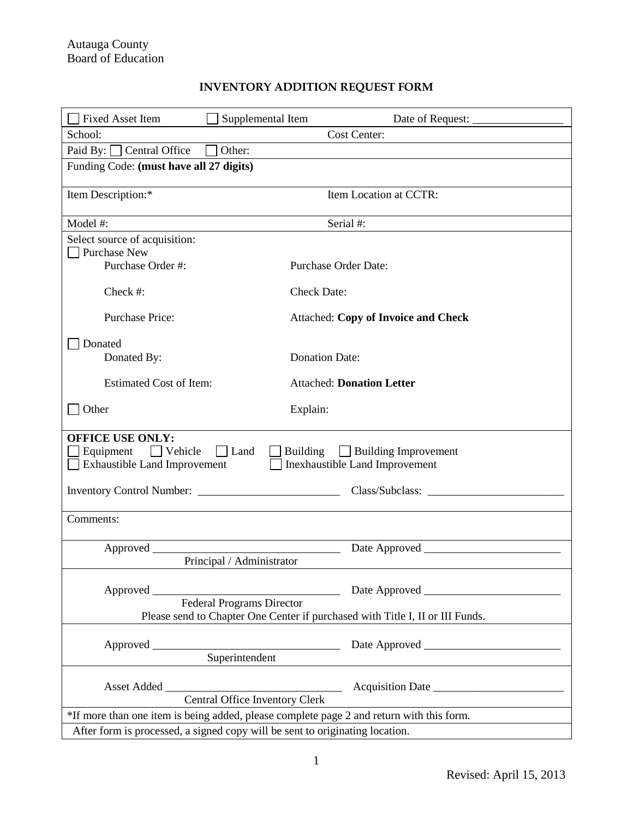## **INVENTORY ADDITION REQUEST FORM**

| <b>Fixed Asset Item</b><br>Supplemental Item                                                                                                                                           |                                            |  |  |  |  |  |
|----------------------------------------------------------------------------------------------------------------------------------------------------------------------------------------|--------------------------------------------|--|--|--|--|--|
| School:                                                                                                                                                                                | Cost Center:                               |  |  |  |  |  |
| Paid By: $\Box$ Central Office<br>Other:                                                                                                                                               |                                            |  |  |  |  |  |
| Funding Code: (must have all 27 digits)                                                                                                                                                |                                            |  |  |  |  |  |
|                                                                                                                                                                                        |                                            |  |  |  |  |  |
| Item Description:*                                                                                                                                                                     | Item Location at CCTR:                     |  |  |  |  |  |
| Model #:                                                                                                                                                                               | Serial #:                                  |  |  |  |  |  |
| Select source of acquisition:                                                                                                                                                          |                                            |  |  |  |  |  |
| Purchase New                                                                                                                                                                           |                                            |  |  |  |  |  |
| Purchase Order #:                                                                                                                                                                      | <b>Purchase Order Date:</b>                |  |  |  |  |  |
| Check #:                                                                                                                                                                               | <b>Check Date:</b>                         |  |  |  |  |  |
| <b>Purchase Price:</b>                                                                                                                                                                 | <b>Attached: Copy of Invoice and Check</b> |  |  |  |  |  |
| Donated                                                                                                                                                                                |                                            |  |  |  |  |  |
| Donated By:                                                                                                                                                                            | <b>Donation Date:</b>                      |  |  |  |  |  |
| <b>Estimated Cost of Item:</b>                                                                                                                                                         | <b>Attached: Donation Letter</b>           |  |  |  |  |  |
| Other                                                                                                                                                                                  | Explain:                                   |  |  |  |  |  |
|                                                                                                                                                                                        |                                            |  |  |  |  |  |
| <b>OFFICE USE ONLY:</b><br>Equipment<br>$\Box$ Vehicle<br>$\Box$ Land<br>Building Building Improvement<br><b>Exhaustible Land Improvement</b><br><b>Inexhaustible Land Improvement</b> |                                            |  |  |  |  |  |
|                                                                                                                                                                                        |                                            |  |  |  |  |  |
| Comments:                                                                                                                                                                              |                                            |  |  |  |  |  |
|                                                                                                                                                                                        |                                            |  |  |  |  |  |
| Approved _________                                                                                                                                                                     |                                            |  |  |  |  |  |
| Principal / Administrator                                                                                                                                                              |                                            |  |  |  |  |  |
|                                                                                                                                                                                        |                                            |  |  |  |  |  |
| <b>Federal Programs Director</b>                                                                                                                                                       |                                            |  |  |  |  |  |
| Please send to Chapter One Center if purchased with Title I, II or III Funds.                                                                                                          |                                            |  |  |  |  |  |
|                                                                                                                                                                                        |                                            |  |  |  |  |  |
|                                                                                                                                                                                        |                                            |  |  |  |  |  |
|                                                                                                                                                                                        |                                            |  |  |  |  |  |
| Central Office Inventory Clerk                                                                                                                                                         |                                            |  |  |  |  |  |
| *If more than one item is being added, please complete page 2 and return with this form.                                                                                               |                                            |  |  |  |  |  |
| After form is processed, a signed copy will be sent to originating location.                                                                                                           |                                            |  |  |  |  |  |